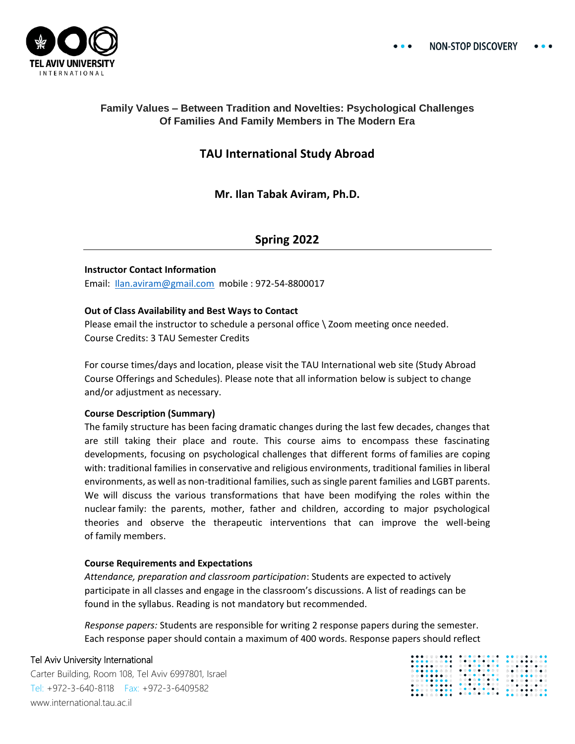

## **Family Values – Between Tradition and Novelties: Psychological Challenges Of Families And Family Members in The Modern Era**

# **TAU International Study Abroad**

**Mr. Ilan Tabak Aviram, Ph.D.**

# **Spring 2022**

**Instructor Contact Information**  Email: [Ilan.aviram@gmail.com](mailto:Ilan.aviram@gmail.com) mobile : 972-54-8800017

## **Out of Class Availability and Best Ways to Contact**

Please email the instructor to schedule a personal office \ Zoom meeting once needed. Course Credits: 3 TAU Semester Credits

For course times/days and location, please visit the TAU International web site (Study Abroad Course Offerings and Schedules). Please note that all information below is subject to change and/or adjustment as necessary.

## **Course Description (Summary)**

The family structure has been facing dramatic changes during the last few decades, changes that are still taking their place and route. This course aims to encompass these fascinating developments, focusing on psychological challenges that different forms of families are coping with: traditional families in conservative and religious environments, traditional families in liberal environments, as well as non-traditional families, such as single parent families and LGBT parents. We will discuss the various transformations that have been modifying the roles within the nuclear family: the parents, mother, father and children, according to major psychological theories and observe the therapeutic interventions that can improve the well-being of family members.

## **Course Requirements and Expectations**

*Attendance, preparation and classroom participation*: Students are expected to actively participate in all classes and engage in the classroom's discussions. A list of readings can be found in the syllabus. Reading is not mandatory but recommended.

*Response papers:* Students are responsible for writing 2 response papers during the semester. Each response paper should contain a maximum of 400 words. Response papers should reflect

## Tel Aviv University International

|                   |                                       | .                                                                                                                                                                                                     |
|-------------------|---------------------------------------|-------------------------------------------------------------------------------------------------------------------------------------------------------------------------------------------------------|
| .                 | . . <b>.</b> . <b>.</b> .             | $\bullet\texttt{ \textcolor{blue}{0} } \bullet\texttt{ \textcolor{blue}{0} } \bullet\texttt{ \textcolor{blue}{0} } \bullet\texttt{ \textcolor{blue}{0} } \circ\texttt{ \textcolor{blue}{0} } \bullet$ |
| .                 | .                                     | .                                                                                                                                                                                                     |
| . . <b>.</b>      | .                                     | .                                                                                                                                                                                                     |
| . . <b>.</b>      | . <b>.</b> . <b>.</b> . <b>.</b><br>. | .                                                                                                                                                                                                     |
| . <b>.</b> .<br>. | .                                     | .<br>.                                                                                                                                                                                                |
| .                 | . <b>.</b>                            | .                                                                                                                                                                                                     |
|                   | .                                     | $\bullet\bullet\circ\bullet\bullet\circ\bullet\bullet\bullet$                                                                                                                                         |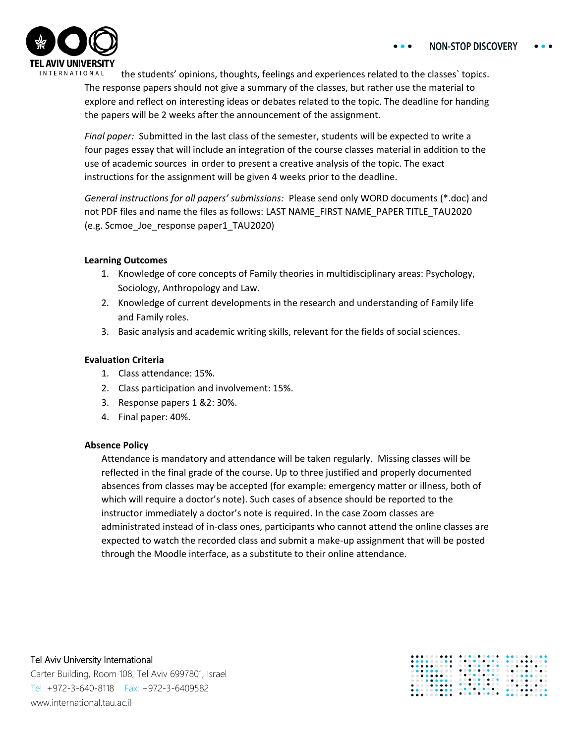

the students' opinions, thoughts, feelings and experiences related to the classes` topics. The response papers should not give a summary of the classes, but rather use the material to explore and reflect on interesting ideas or debates related to the topic. The deadline for handing the papers will be 2 weeks after the announcement of the assignment.

*Final paper:* Submitted in the last class of the semester, students will be expected to write a four pages essay that will include an integration of the course classes material in addition to the use of academic sources in order to present a creative analysis of the topic. The exact instructions for the assignment will be given 4 weeks prior to the deadline.

*General instructions for all papers' submissions:* Please send only WORD documents (\*.doc) and not PDF files and name the files as follows: LAST NAME\_FIRST NAME\_PAPER TITLE\_TAU2020 (e.g. Scmoe\_Joe\_response paper1\_TAU2020)

## **Learning Outcomes**

- 1. Knowledge of core concepts of Family theories in multidisciplinary areas: Psychology, Sociology, Anthropology and Law.
- 2. Knowledge of current developments in the research and understanding of Family life and Family roles.
- 3. Basic analysis and academic writing skills, relevant for the fields of social sciences.

## **Evaluation Criteria**

- 1. Class attendance: 15%.
- 2. Class participation and involvement: 15%.
- 3. Response papers 1 &2: 30%.
- 4. Final paper: 40%.

## **Absence Policy**

Attendance is mandatory and attendance will be taken regularly. Missing classes will be reflected in the final grade of the course. Up to three justified and properly documented absences from classes may be accepted (for example: emergency matter or illness, both of which will require a doctor's note). Such cases of absence should be reported to the instructor immediately a doctor's note is required. In the case Zoom classes are administrated instead of in-class ones, participants who cannot attend the online classes are expected to watch the recorded class and submit a make-up assignment that will be posted through the Moodle interface, as a substitute to their online attendance.

## Tel Aviv University International

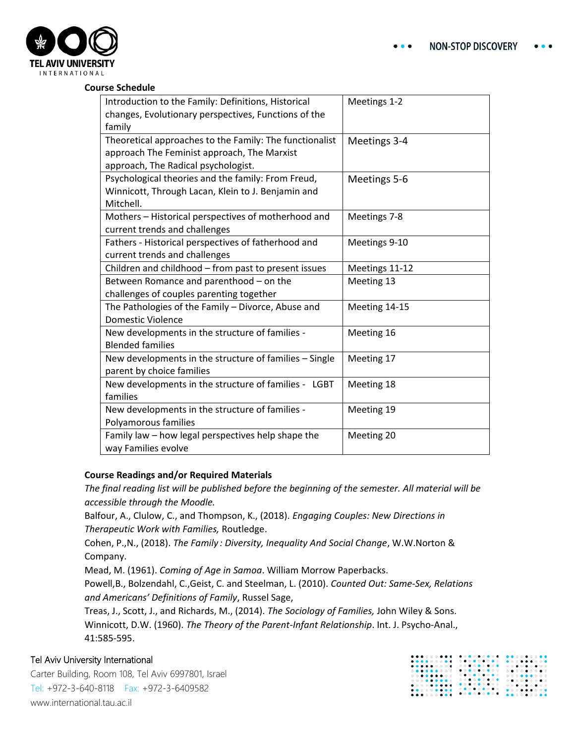

## **Course Schedule**

| Introduction to the Family: Definitions, Historical<br>changes, Evolutionary perspectives, Functions of the<br>family                         | Meetings 1-2   |  |  |  |  |  |
|-----------------------------------------------------------------------------------------------------------------------------------------------|----------------|--|--|--|--|--|
| Theoretical approaches to the Family: The functionalist<br>approach The Feminist approach, The Marxist<br>approach, The Radical psychologist. | Meetings 3-4   |  |  |  |  |  |
| Psychological theories and the family: From Freud,<br>Winnicott, Through Lacan, Klein to J. Benjamin and<br>Mitchell.                         | Meetings 5-6   |  |  |  |  |  |
| Mothers - Historical perspectives of motherhood and<br>current trends and challenges                                                          | Meetings 7-8   |  |  |  |  |  |
| Fathers - Historical perspectives of fatherhood and<br>current trends and challenges                                                          | Meetings 9-10  |  |  |  |  |  |
| Children and childhood - from past to present issues                                                                                          | Meetings 11-12 |  |  |  |  |  |
| Between Romance and parenthood - on the                                                                                                       | Meeting 13     |  |  |  |  |  |
| challenges of couples parenting together                                                                                                      |                |  |  |  |  |  |
| The Pathologies of the Family - Divorce, Abuse and<br><b>Domestic Violence</b>                                                                | Meeting 14-15  |  |  |  |  |  |
| New developments in the structure of families -<br><b>Blended families</b>                                                                    | Meeting 16     |  |  |  |  |  |
| New developments in the structure of families - Single<br>parent by choice families                                                           | Meeting 17     |  |  |  |  |  |
| New developments in the structure of families - LGBT<br>families                                                                              | Meeting 18     |  |  |  |  |  |
| New developments in the structure of families -<br>Polyamorous families                                                                       | Meeting 19     |  |  |  |  |  |
| Family law - how legal perspectives help shape the<br>way Families evolve                                                                     | Meeting 20     |  |  |  |  |  |

## **Course Readings and/or Required Materials**

*The final reading list will be published before the beginning of the semester. All material will be accessible through the Moodle.* 

Balfour, A., Clulow, C., and Thompson, K., (2018). *Engaging Couples: New Directions in Therapeutic Work with Families,* Routledge.

Cohen, P.,N., (2018). *The Family : Diversity, Inequality And Social Change*, W.W.Norton & Company.

Mead, M. (1961). *Coming of Age in Samoa*. William Morrow Paperbacks.

Powell,B., Bolzendahl, C.,Geist, C. and Steelman, L. (2010). *Counted Out: Same-Sex, Relations and Americans' Definitions of Family*, Russel Sage,

Treas, J., Scott, J., and Richards, M., (2014). *The Sociology of Families,* John Wiley & Sons. Winnicott, D.W. (1960). *The Theory of the Parent-Infant Relationship*. Int. J. Psycho-Anal., 41:585-595.

## Tel Aviv University International

|  |  |              |  | . <b>.</b> |  |  |  |   |  |  |  |  |  | .                                                                                   |  |
|--|--|--------------|--|------------|--|--|--|---|--|--|--|--|--|-------------------------------------------------------------------------------------|--|
|  |  | .            |  |            |  |  |  | . |  |  |  |  |  | $\bullet\texttt{--} \bullet\bullet\bullet\bullet\texttt{-}\bullet\bullet\texttt{-}$ |  |
|  |  | .            |  |            |  |  |  | . |  |  |  |  |  | .                                                                                   |  |
|  |  | . <b>.</b>   |  |            |  |  |  | . |  |  |  |  |  | .                                                                                   |  |
|  |  | . . <b>.</b> |  |            |  |  |  | . |  |  |  |  |  | . <b>.</b>                                                                          |  |
|  |  | . <b>.</b> . |  |            |  |  |  | . |  |  |  |  |  | .                                                                                   |  |
|  |  | . <b>.</b>   |  |            |  |  |  | . |  |  |  |  |  | .                                                                                   |  |
|  |  | .            |  |            |  |  |  | . |  |  |  |  |  | $\bullet\texttt{}\bullet\bullet\bullet\texttt{}\bullet\bullet$                      |  |
|  |  | .            |  |            |  |  |  | . |  |  |  |  |  |                                                                                     |  |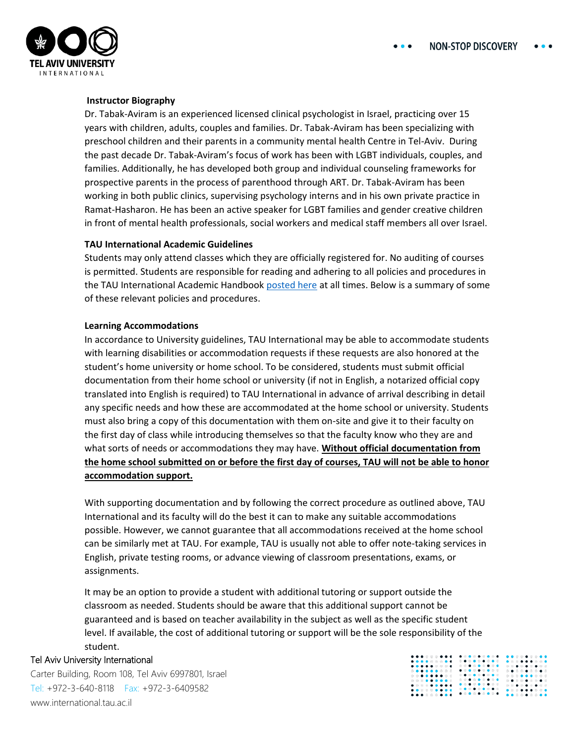

## **Instructor Biography**

Dr. Tabak-Aviram is an experienced licensed clinical psychologist in Israel, practicing over 15 years with children, adults, couples and families. Dr. Tabak-Aviram has been specializing with preschool children and their parents in a community mental health Centre in Tel-Aviv. During the past decade Dr. Tabak-Aviram's focus of work has been with LGBT individuals, couples, and families. Additionally, he has developed both group and individual counseling frameworks for prospective parents in the process of parenthood through ART. Dr. Tabak-Aviram has been working in both public clinics, supervising psychology interns and in his own private practice in Ramat-Hasharon. He has been an active speaker for LGBT families and gender creative children in front of mental health professionals, social workers and medical staff members all over Israel.

## **TAU International Academic Guidelines**

Students may only attend classes which they are officially registered for. No auditing of courses is permitted. Students are responsible for reading and adhering to all policies and procedures in the TAU International Academic Handbook [posted here](https://international.tau.ac.il/academic_board) at all times. Below is a summary of some of these relevant policies and procedures.

## **Learning Accommodations**

In accordance to University guidelines, TAU International may be able to accommodate students with learning disabilities or accommodation requests if these requests are also honored at the student's home university or home school. To be considered, students must submit official documentation from their home school or university (if not in English, a notarized official copy translated into English is required) to TAU International in advance of arrival describing in detail any specific needs and how these are accommodated at the home school or university. Students must also bring a copy of this documentation with them on-site and give it to their faculty on the first day of class while introducing themselves so that the faculty know who they are and what sorts of needs or accommodations they may have. **Without official documentation from the home school submitted on or before the first day of courses, TAU will not be able to honor accommodation support.**

With supporting documentation and by following the correct procedure as outlined above, TAU International and its faculty will do the best it can to make any suitable accommodations possible. However, we cannot guarantee that all accommodations received at the home school can be similarly met at TAU. For example, TAU is usually not able to offer note-taking services in English, private testing rooms, or advance viewing of classroom presentations, exams, or assignments.

It may be an option to provide a student with additional tutoring or support outside the classroom as needed. Students should be aware that this additional support cannot be guaranteed and is based on teacher availability in the subject as well as the specific student level. If available, the cost of additional tutoring or support will be the sole responsibility of the student.

## Tel Aviv University International

| . <b>.</b>   |                                                                                       | .                                                                                |
|--------------|---------------------------------------------------------------------------------------|----------------------------------------------------------------------------------|
| .            | . . <b>.</b> . <b>.</b> . <b>.</b>                                                    | $\bullet\texttt{---}\bullet\bullet\bullet\texttt{---}\bullet\bullet\texttt{---}$ |
| .            | . . <b>.</b> . <b>.</b> . <b>.</b> . <b>.</b>                                         | .                                                                                |
| . . <b>.</b> | .                                                                                     | .                                                                                |
| . . <b>.</b> | . <b>.</b> . <b>.</b> . <b>.</b>                                                      | .                                                                                |
| . <b>.</b> . | .<br>$\bullet\texttt{}\bullet\texttt{}\bullet\texttt{}\bullet\texttt{}\circ\texttt{}$ | .                                                                                |
| .<br>.       | .                                                                                     | .<br>.                                                                           |
|              | .                                                                                     |                                                                                  |